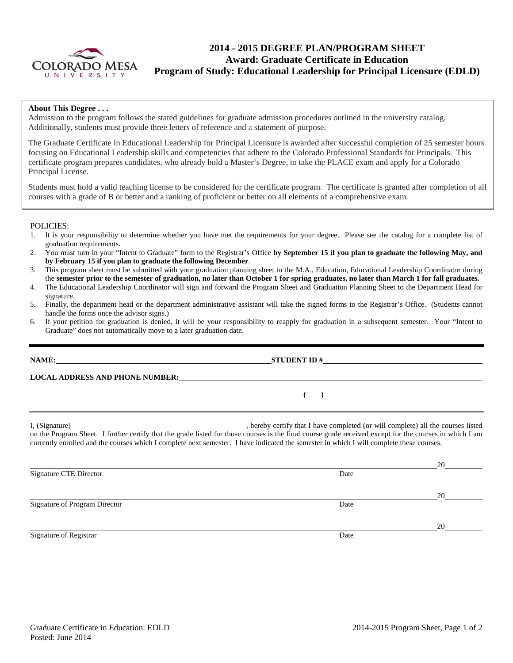

# **2014 - 2015 DEGREE PLAN/PROGRAM SHEET Award: Graduate Certificate in Education Program of Study: Educational Leadership for Principal Licensure (EDLD)**

### **About This Degree . . .**

Admission to the program follows the stated guidelines for graduate admission procedures outlined in the university catalog. Additionally, students must provide three letters of reference and a statement of purpose.

The Graduate Certificate in Educational Leadership for Principal Licensure is awarded after successful completion of 25 semester hours focusing on Educational Leadership skills and competencies that adhere to the Colorado Professional Standards for Principals. This certificate program prepares candidates, who already hold a Master's Degree, to take the PLACE exam and apply for a Colorado Principal License.

Students must hold a valid teaching license to be considered for the certificate program. The certificate is granted after completion of all courses with a grade of B or better and a ranking of proficient or better on all elements of a comprehensive exam.

### POLICIES:

- 1. It is your responsibility to determine whether you have met the requirements for your degree. Please see the catalog for a complete list of graduation requirements.
- 2. You must turn in your "Intent to Graduate" form to the Registrar's Office **by September 15 if you plan to graduate the following May, and by February 15 if you plan to graduate the following December**.
- 3. This program sheet must be submitted with your graduation planning sheet to the M.A., Education, Educational Leadership Coordinator during the **semester prior to the semester of graduation, no later than October 1 for spring graduates, no later than March 1 for fall graduates.**
- 4. The Educational Leadership Coordinator will sign and forward the Program Sheet and Graduation Planning Sheet to the Department Head for signature.
- 5. Finally, the department head or the department administrative assistant will take the signed forms to the Registrar's Office. (Students cannot handle the forms once the advisor signs.)
- 6. If your petition for graduation is denied, it will be your responsibility to reapply for graduation in a subsequent semester. Your "Intent to Graduate" does not automatically move to a later graduation date.

**LOCAL ADDRESS AND PHONE NUMBER:**

I, (Signature) , hereby certify that I have completed (or will complete) all the courses listed on the Program Sheet. I further certify that the grade listed for those courses is the final course grade received except for the courses in which I am currently enrolled and the courses which I complete next semester. I have indicated the semester in which I will complete these courses.

20 Signature CTE Director Date and Security and Security 2011 and 2012 01:30 and 2012 01:30 and 2012 01:30 and 2013 01:30 and 2013 01:30 and 2013 01:30 and 2013 01:30 and 2013 01:30 and 2013 01:30 and 2013 01:30 and 2013 01:3 20 Signature of Program Director **Date** 20 Signature of Registrar Date and Separature of Registrar Date and Separature of Registrar Date

**( )** 

**NAME: STUDENT ID #**